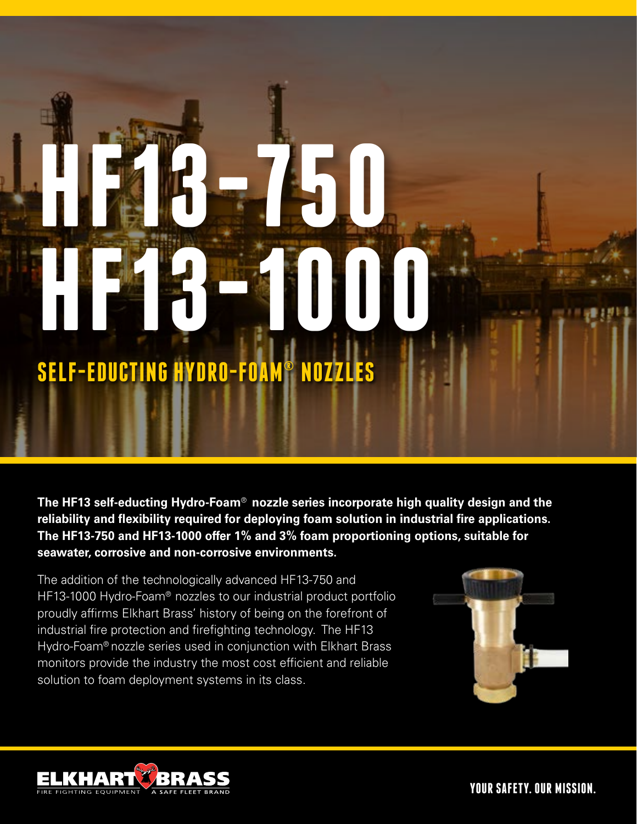# **SELF-EDUCTING HYDRO-FOAM® NOZZLES**

**HF13-750** 

**HE23-1000** 

**The HF13 self-educting Hydro-Foam**® **nozzle series incorporate high quality design and the reliability and flexibility required for deploying foam solution in industrial fire applications. The HF13-750 and HF13-1000 offer 1% and 3% foam proportioning options, suitable for seawater, corrosive and non-corrosive environments.** 

The addition of the technologically advanced HF13-750 and HF13-1000 Hydro-Foam® nozzles to our industrial product portfolio proudly affirms Elkhart Brass' history of being on the forefront of industrial fire protection and firefighting technology. The HF13 Hydro-Foam® nozzle series used in conjunction with Elkhart Brass monitors provide the industry the most cost efficient and reliable solution to foam deployment systems in its class.





**YOUR SAFETY. OUR MISSION.**